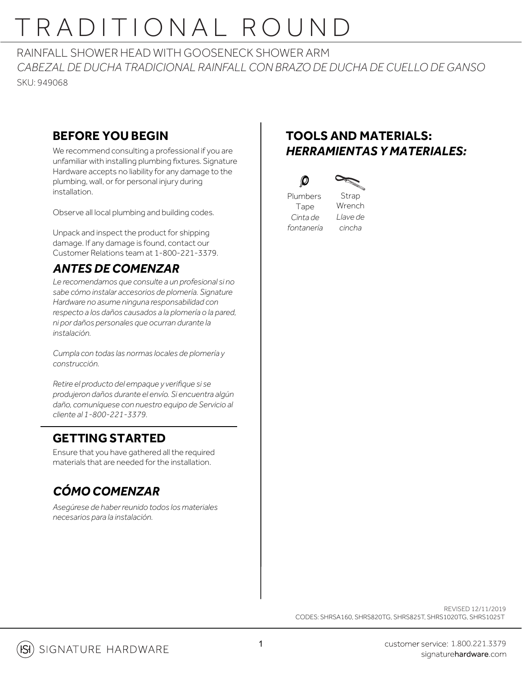# TRADITIONAL ROUND

RAINFALL SHOWER HEAD WITH GOOSENECK SHOWER ARM *CABEZAL DE DUCHA TRADICIONAL RAINFALL CON BRAZO DE DUCHA DE CUELLO DE GANSO* SKU: 949068

### **BEFORE YOU BEGIN**

We recommend consulting a professional if you are unfamiliar with installing plumbing fixtures. Signature Hardware accepts no liability for any damage to the plumbing, wall, or for personal injury during installation.

Observe all local plumbing and building codes.

Unpack and inspect the product for shipping damage. If any damage is found, contact our Customer Relations team at 1-800-221-3379.

### *ANTES DE COMENZAR*

*Le recomendamos que consulte a un profesional si no sabe cómo instalar accesorios de plomería. Signature Hardware no asume ninguna responsabilidad con respecto a los daños causados a la plomería o la pared, ni por daños personales que ocurran durante la instalación.*

*Cumpla con todas las normas locales de plomería y construcción.*

*Retire el producto del empaque y verifique si se produjeron daños durante el envío. Si encuentra algún daño, comuníquese con nuestro equipo de Servicio al cliente al 1-800-221-3379.*

### **GETTING STARTED**

Ensure that you have gathered all the required materials that are needed for the installation.

### *CÓMO COMENZAR*

*Asegúrese de haber reunido todos los materiales necesarios para la instalación.*

### **TOOLS AND MATERIALS:** *HERRAMIENTAS Y MATERIALES:*



Plumbers Tape *Cinta de fontanería*

 $\bm{O}$ 

Strap Wrench *Llave de cincha*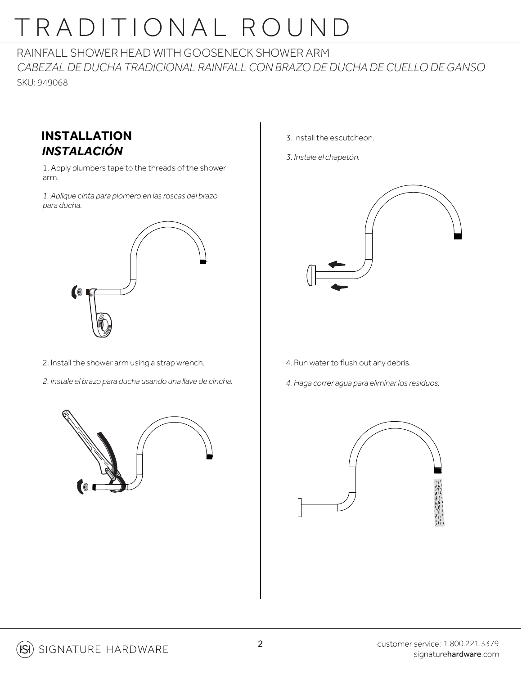# TRADITIONAL ROUND

RAINFALL SHOWER HEAD WITH GOOSENECK SHOWER ARM *CABEZAL DE DUCHA TRADICIONAL RAINFALL CON BRAZO DE DUCHA DE CUELLO DE GANSO* SKU: 949068

#### **INSTALLATION** *INSTALACIÓN*

1. Apply plumbers tape to the threads of the shower arm.

*1. Aplique cinta para plomero en las roscas del brazo para ducha.*



- 2. Install the shower arm using a strap wrench.
- *2. Instale el brazo para ducha usando una llave de cincha.*



- 3. Install the escutcheon.
- *3. Instale el chapetón.*



- 4. Run water to flush out any debris.
- *4. Haga correr agua para eliminar los residuos.*